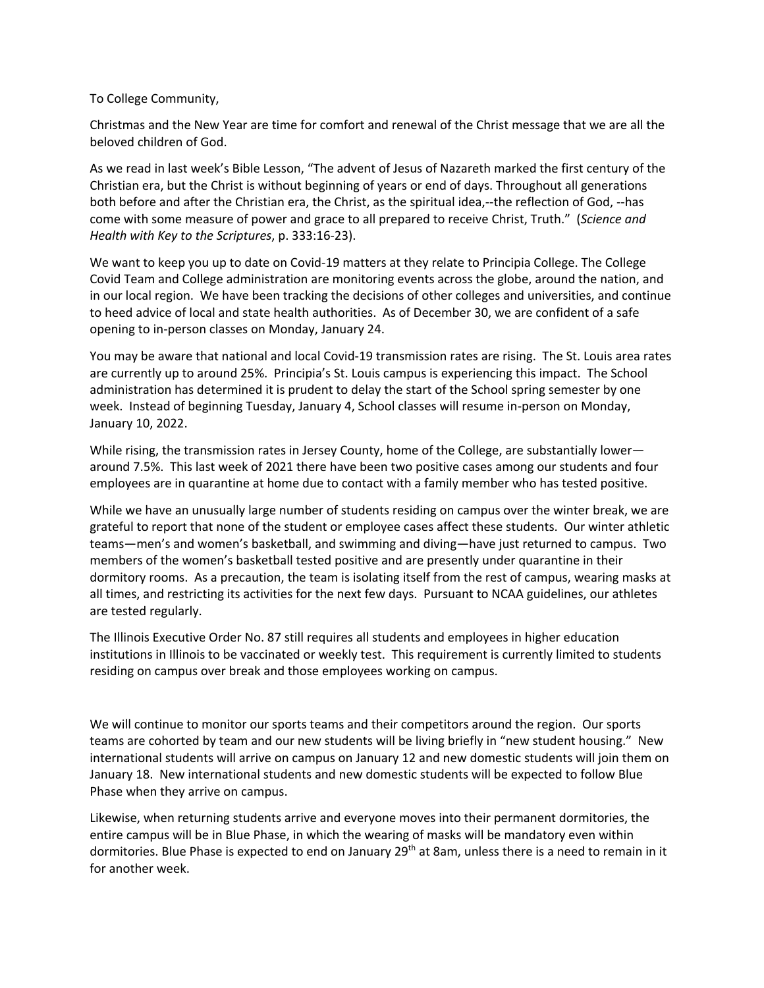To College Community,

Christmas and the New Year are time for comfort and renewal of the Christ message that we are all the beloved children of God.

As we read in last week's Bible Lesson, "The advent of Jesus of Nazareth marked the first century of the Christian era, but the Christ is without beginning of years or end of days. Throughout all generations both before and after the Christian era, the Christ, as the spiritual idea,--the reflection of God, --has come with some measure of power and grace to all prepared to receive Christ, Truth." (*Science and Health with Key to the Scriptures*, p. 333:16-23).

We want to keep you up to date on Covid-19 matters at they relate to Principia College. The College Covid Team and College administration are monitoring events across the globe, around the nation, and in our local region. We have been tracking the decisions of other colleges and universities, and continue to heed advice of local and state health authorities. As of December 30, we are confident of a safe opening to in-person classes on Monday, January 24.

You may be aware that national and local Covid-19 transmission rates are rising. The St. Louis area rates are currently up to around 25%. Principia's St. Louis campus is experiencing this impact. The School administration has determined it is prudent to delay the start of the School spring semester by one week. Instead of beginning Tuesday, January 4, School classes will resume in-person on Monday, January 10, 2022.

While rising, the transmission rates in Jersey County, home of the College, are substantially lower around 7.5%. This last week of 2021 there have been two positive cases among our students and four employees are in quarantine at home due to contact with a family member who has tested positive.

While we have an unusually large number of students residing on campus over the winter break, we are grateful to report that none of the student or employee cases affect these students. Our winter athletic teams—men's and women's basketball, and swimming and diving—have just returned to campus. Two members of the women's basketball tested positive and are presently under quarantine in their dormitory rooms. As a precaution, the team is isolating itself from the rest of campus, wearing masks at all times, and restricting its activities for the next few days. Pursuant to NCAA guidelines, our athletes are tested regularly.

The Illinois Executive Order No. 87 still requires all students and employees in higher education institutions in Illinois to be vaccinated or weekly test. This requirement is currently limited to students residing on campus over break and those employees working on campus.

We will continue to monitor our sports teams and their competitors around the region. Our sports teams are cohorted by team and our new students will be living briefly in "new student housing." New international students will arrive on campus on January 12 and new domestic students will join them on January 18. New international students and new domestic students will be expected to follow Blue Phase when they arrive on campus.

Likewise, when returning students arrive and everyone moves into their permanent dormitories, the entire campus will be in Blue Phase, in which the wearing of masks will be mandatory even within dormitories. Blue Phase is expected to end on January 29<sup>th</sup> at 8am, unless there is a need to remain in it for another week.